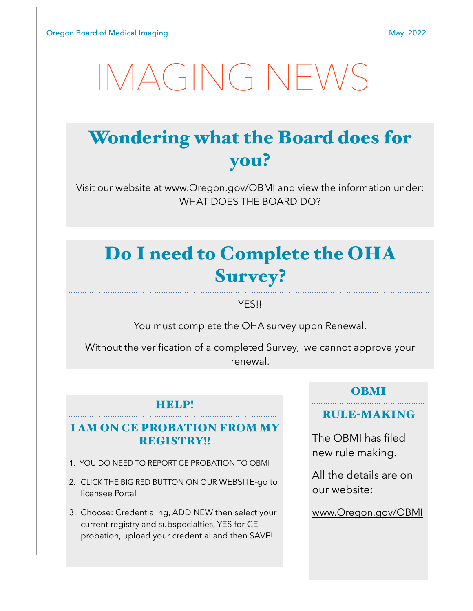# [IMAGING NEWS](http://www.apple.com)

### Wondering what the Board does for you?

Visit our website at [www.Oregon.gov/OBMI](http://www.Oregon.gov/OBMI) and view the information under: WHAT DOES THE BOARD DO?

### Do I need to Complete the OHA Survey?

YES!!

You must complete the OHA survey upon Renewal.

Without the verification of a completed Survey, we cannot approve your renewal.

#### HELP!

#### I AM ON CE PROBATION FROM MY REGISTRY!!

- 1. YOU DO NEED TO REPORT CE PROBATION TO OBMI
- 2. CLICK THE BIG RED BUTTON ON OUR WEBSITE-go to licensee Portal
- 3. Choose: Credentialing, ADD NEW then select your current registry and subspecialties, YES for CE probation, upload your credential and then SAVE!

#### OBMI

#### RULE-MAKING

The OBMI has filed new rule making.

All the details are on our website:

[www.Oregon.gov/OBMI](http://www.Oregon.gov/OBMI)